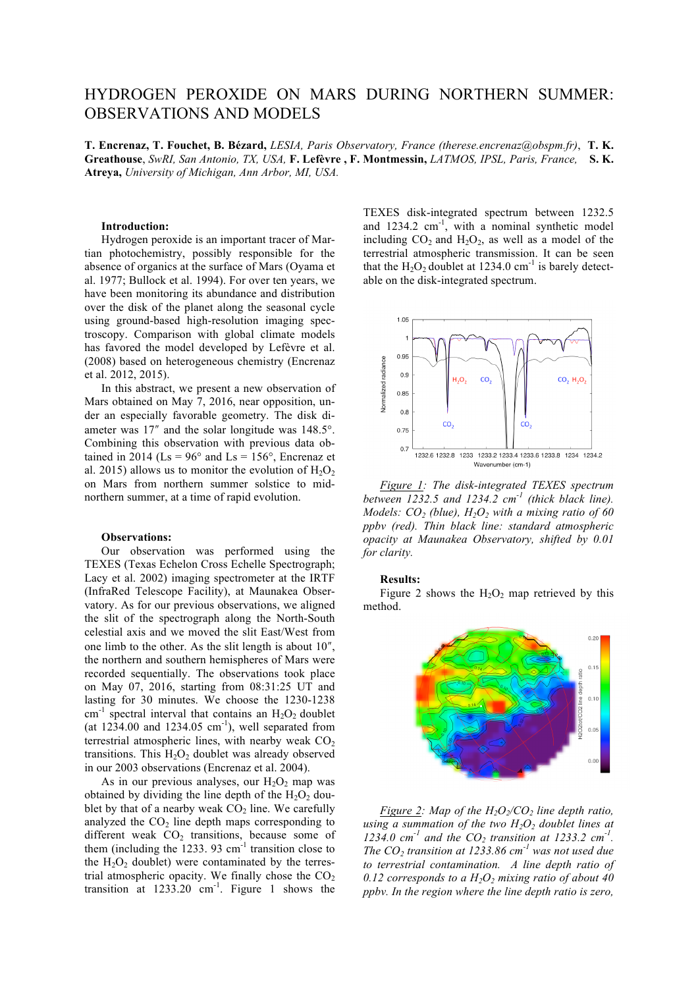# HYDROGEN PEROXIDE ON MARS DURING NORTHERN SUMMER: OBSERVATIONS AND MODELS

**T. Encrenaz, T. Fouchet, B. Bézard,** *LESIA, Paris Observatory, France (therese.encrenaz@obspm.fr)*, **T. K. Greathouse**, *SwRI, San Antonio, TX, USA,* **F. Lefèvre , F. Montmessin,** *LATMOS, IPSL, Paris, France,* **S. K. Atreya,** *University of Michigan, Ann Arbor, MI, USA.*

# **Introduction:**

Hydrogen peroxide is an important tracer of Martian photochemistry, possibly responsible for the absence of organics at the surface of Mars (Oyama et al. 1977; Bullock et al. 1994). For over ten years, we have been monitoring its abundance and distribution over the disk of the planet along the seasonal cycle using ground-based high-resolution imaging spectroscopy. Comparison with global climate models has favored the model developed by Lefèvre et al. (2008) based on heterogeneous chemistry (Encrenaz et al. 2012, 2015).

In this abstract, we present a new observation of Mars obtained on May 7, 2016, near opposition, under an especially favorable geometry. The disk diameter was 17" and the solar longitude was 148.5°. Combining this observation with previous data obtained in 2014 ( $\text{Ls} = 96^\circ$  and  $\text{Ls} = 156^\circ$ ), Encrenaz et al. 2015) allows us to monitor the evolution of  $H_2O_2$ on Mars from northern summer solstice to midnorthern summer, at a time of rapid evolution.

## **Observations:**

Our observation was performed using the TEXES (Texas Echelon Cross Echelle Spectrograph; Lacy et al. 2002) imaging spectrometer at the IRTF (InfraRed Telescope Facility), at Maunakea Observatory. As for our previous observations, we aligned the slit of the spectrograph along the North-South celestial axis and we moved the slit East/West from one limb to the other. As the slit length is about  $10<sup>′</sup>$ , the northern and southern hemispheres of Mars were recorded sequentially. The observations took place on May 07, 2016, starting from 08:31:25 UT and lasting for 30 minutes. We choose the 1230-1238 cm<sup>-1</sup> spectral interval that contains an  $H_2O_2$  doublet (at  $1234.00$  and  $1234.05$  cm<sup>-1</sup>), well separated from terrestrial atmospheric lines, with nearby weak  $CO<sub>2</sub>$ transitions. This  $H_2O_2$  doublet was already observed in our 2003 observations (Encrenaz et al. 2004).

As in our previous analyses, our  $H_2O_2$  map was obtained by dividing the line depth of the  $H_2O_2$  doublet by that of a nearby weak  $CO<sub>2</sub>$  line. We carefully analyzed the  $CO<sub>2</sub>$  line depth maps corresponding to different weak  $CO<sub>2</sub>$  transitions, because some of them (including the 1233. 93  $\text{cm}^{-1}$  transition close to the  $H_2O_2$  doublet) were contaminated by the terrestrial atmospheric opacity. We finally chose the  $CO<sub>2</sub>$ transition at  $1233.20$  cm<sup>-1</sup>. Figure 1 shows the TEXES disk-integrated spectrum between 1232.5 and  $1234.2 \text{ cm}^{-1}$ , with a nominal synthetic model including  $CO<sub>2</sub>$  and  $H<sub>2</sub>O<sub>2</sub>$ , as well as a model of the terrestrial atmospheric transmission. It can be seen that the  $H_2O_2$  doublet at 1234.0 cm<sup>-1</sup> is barely detectable on the disk-integrated spectrum.



*Figure 1: The disk-integrated TEXES spectrum between 1232.5 and 1234.2 cm-1 (thick black line). Models:*  $CO_2$  *(blue), H<sub>2</sub>O<sub>2</sub> with a mixing ratio of 60 ppbv (red). Thin black line: standard atmospheric opacity at Maunakea Observatory, shifted by 0.01 for clarity.*

#### **Results:**

Figure 2 shows the  $H_2O_2$  map retrieved by this method.



*Figure 2: Map of the*  $H_2O_2/CO_2$  *line depth ratio, using a summation of the two*  $H_2O_2$  *doublet lines at* 1234.0 cm<sup>-1</sup> and the  $CO_2$  *transition at 1233.2 cm<sup>-1</sup>. The CO<sub>2</sub> transition at 1233.86 cm<sup>-1</sup> was not used due to terrestrial contamination. A line depth ratio of 0.12 corresponds to a H2O2 mixing ratio of about 40 ppbv. In the region where the line depth ratio is zero,*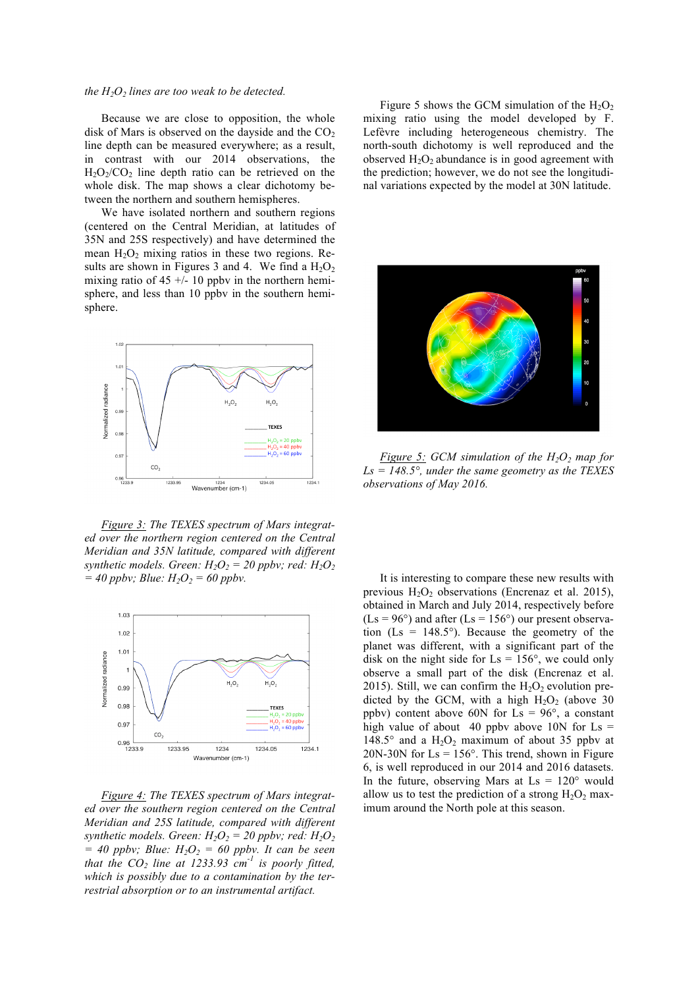## *the*  $H_2O_2$  *lines are too weak to be detected.*

Because we are close to opposition, the whole disk of Mars is observed on the dayside and the  $CO<sub>2</sub>$ line depth can be measured everywhere; as a result, in contrast with our 2014 observations, the  $H<sub>2</sub>O<sub>2</sub>/CO<sub>2</sub>$  line depth ratio can be retrieved on the whole disk. The map shows a clear dichotomy between the northern and southern hemispheres.

We have isolated northern and southern regions (centered on the Central Meridian, at latitudes of 35N and 25S respectively) and have determined the mean  $H_2O_2$  mixing ratios in these two regions. Results are shown in Figures 3 and 4. We find a  $H_2O_2$ mixing ratio of  $45 + (-10$  ppby in the northern hemisphere, and less than 10 ppbv in the southern hemisphere.



*Figure 3: The TEXES spectrum of Mars integrated over the northern region centered on the Central Meridian and 35N latitude, compared with different synthetic models. Green:*  $H_2O_2 = 20$  *ppbv; red:*  $H_2O_2$  $= 40$  *ppbv; Blue:*  $H_2O_2 = 60$  *ppbv.* 



*Figure 4: The TEXES spectrum of Mars integrated over the southern region centered on the Central Meridian and 25S latitude, compared with different synthetic models. Green:*  $H_2O_2 = 20$  *ppbv; red:*  $H_2O_2$  $= 40$  ppbv; Blue:  $H_2O_2 = 60$  ppbv. It can be seen *that the*  $CO_2$  *line at 1233.93*  $cm^{-1}$  *is poorly fitted, which is possibly due to a contamination by the terrestrial absorption or to an instrumental artifact.*

Figure 5 shows the GCM simulation of the  $H_2O_2$ mixing ratio using the model developed by F. Lefèvre including heterogeneous chemistry. The north-south dichotomy is well reproduced and the observed  $H_2O_2$  abundance is in good agreement with the prediction; however, we do not see the longitudinal variations expected by the model at 30N latitude.



*Figure 5: GCM simulation of the*  $H_2O_2$  *map for Ls = 148.5°, under the same geometry as the TEXES observations of May 2016.* 

It is interesting to compare these new results with previous  $H_2O_2$  observations (Encrenaz et al. 2015), obtained in March and July 2014, respectively before  $(Ls = 96^{\circ})$  and after  $(Ls = 156^{\circ})$  our present observation ( $\text{Ls} = 148.5^{\circ}$ ). Because the geometry of the planet was different, with a significant part of the disk on the night side for  $\text{Ls} = 156^{\circ}$ , we could only observe a small part of the disk (Encrenaz et al. 2015). Still, we can confirm the  $H_2O_2$  evolution predicted by the GCM, with a high  $H_2O_2$  (above 30 ppbv) content above 60N for  $\text{Ls} = 96^\circ$ , a constant high value of about 40 ppby above 10N for  $\text{Ls} =$ 148.5° and a  $H_2O_2$  maximum of about 35 ppby at  $20N-30N$  for  $Ls = 156^\circ$ . This trend, shown in Figure 6, is well reproduced in our 2014 and 2016 datasets. In the future, observing Mars at  $Ls = 120^{\circ}$  would allow us to test the prediction of a strong  $H_2O_2$  maximum around the North pole at this season.